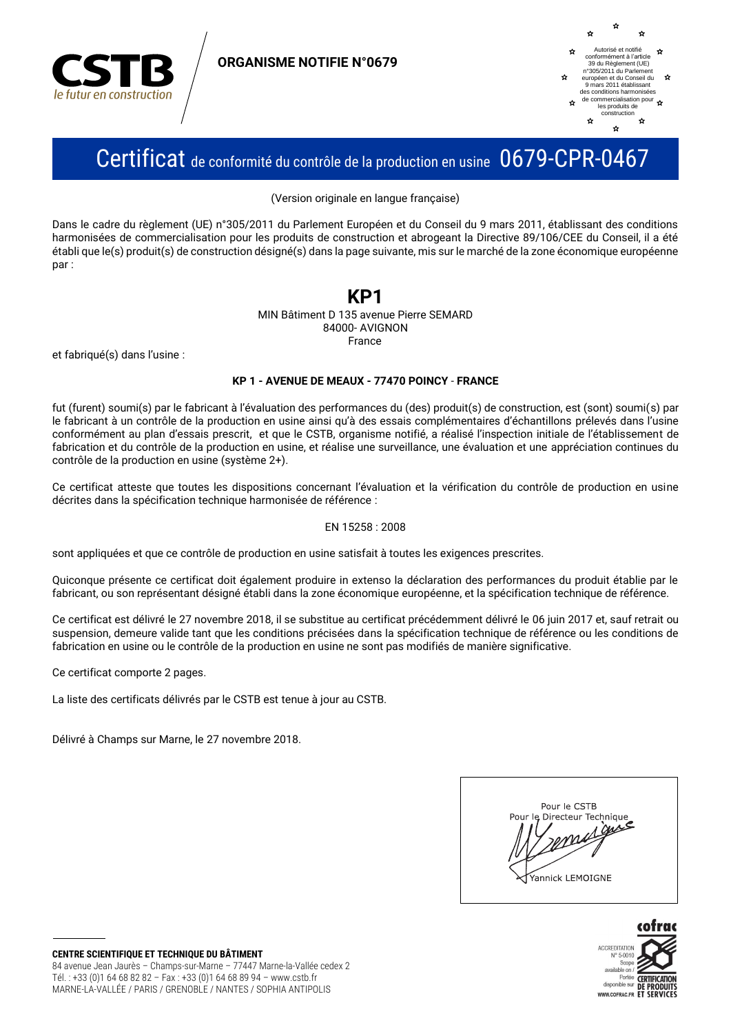

**ORGANISME NOTIFIE N°0679** 



## Certificat de conformité du contrôle de la production en usine 0679-CPR-0467

(Version originale en langue française)

Dans le cadre du règlement (UE) n°305/2011 du Parlement Européen et du Conseil du 9 mars 2011, établissant des conditions harmonisées de commercialisation pour les produits de construction et abrogeant la Directive 89/106/CEE du Conseil, il a été établi que le(s) produit(s) de construction désigné(s) dans la page suivante, mis sur le marché de la zone économique européenne nar:

## KP1

MIN Bâtiment D 135 avenue Pierre SEMARD 84000-AVIGNON France

et fabriqué(s) dans l'usine :

#### KP 1 - AVENUE DE MEAUX - 77470 POINCY - FRANCE

fut (furent) soumi(s) par le fabricant à l'évaluation des performances du (des) produit(s) de construction, est (sont) soumi(s) par le fabricant à un contrôle de la production en usine ainsi qu'à des essais complémentaires d'échantillons prélevés dans l'usine conformément au plan d'essais prescrit, et que le CSTB, organisme notifié, a réalisé l'inspection initiale de l'établissement de fabrication et du contrôle de la production en usine, et réalise une surveillance, une évaluation et une appréciation continues du contrôle de la production en usine (système 2+).

Ce certificat atteste que toutes les dispositions concernant l'évaluation et la vérification du contrôle de production en usine décrites dans la spécification technique harmonisée de référence :

#### EN 15258: 2008

sont appliquées et que ce contrôle de production en usine satisfait à toutes les exigences prescrites.

Quiconque présente ce certificat doit également produire in extenso la déclaration des performances du produit établie par le fabricant, ou son représentant désigné établi dans la zone économique européenne, et la spécification technique de référence.

Ce certificat est délivré le 27 novembre 2018, il se substitue au certificat précédemment délivré le 06 juin 2017 et, sauf retrait ou suspension, demeure valide tant que les conditions précisées dans la spécification technique de référence ou les conditions de fabrication en usine ou le contrôle de la production en usine ne sont pas modifiés de manière significative.

Ce certificat comporte 2 pages.

La liste des certificats délivrés par le CSTB est tenue à jour au CSTB.

Délivré à Champs sur Marne, le 27 novembre 2018.



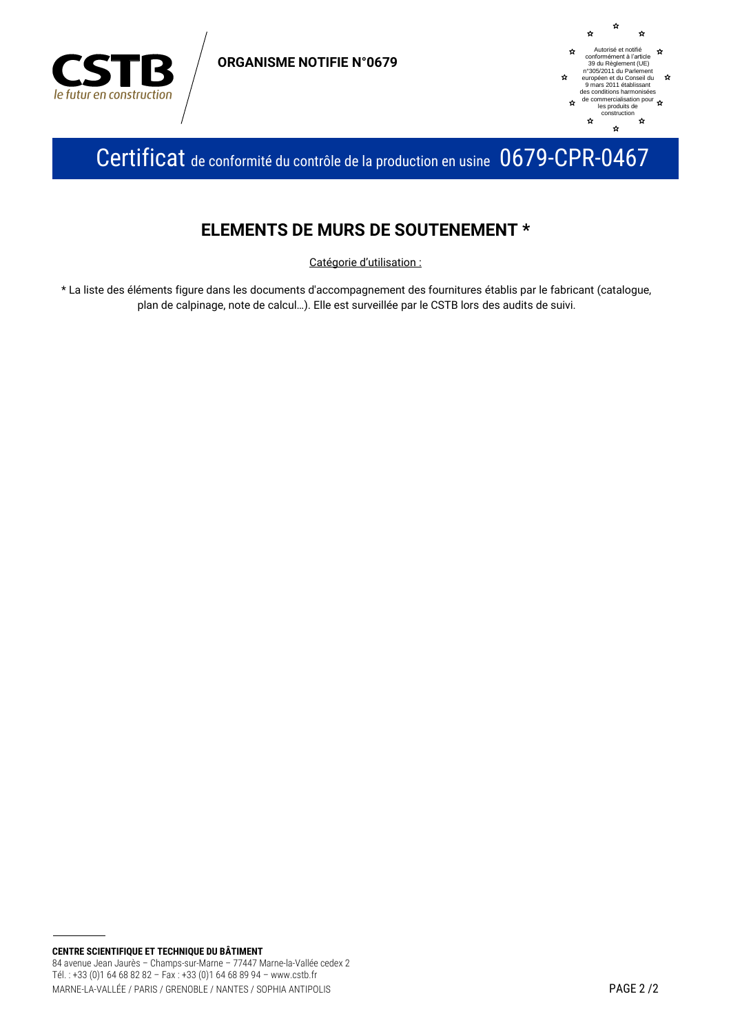

**ORGANISME NOTIFIE N°0679** 



Certificat de conformité du contrôle de la production en usine 0679-CPR-0467

## **ELEMENTS DE MURS DE SOUTENEMENT \***

Catégorie d'utilisation :

\* La liste des éléments figure dans les documents d'accompagnement des fournitures établis par le fabricant (catalogue, plan de calpinage, note de calcul...). Elle est surveillée par le CSTB lors des audits de suivi.

CENTRE SCIENTIFIQUE ET TECHNIQUE DU BÂTIMENT 84 avenue Jean Jaurès - Champs-sur-Marne - 77447 Marne-la-Vallée cedex 2 Tél.: +33 (0)1 64 68 82 82 - Fax: +33 (0)1 64 68 89 94 - www.cstb.fr MARNE-LA-VALLÉE / PARIS / GRENOBLE / NANTES / SOPHIA ANTIPOLIS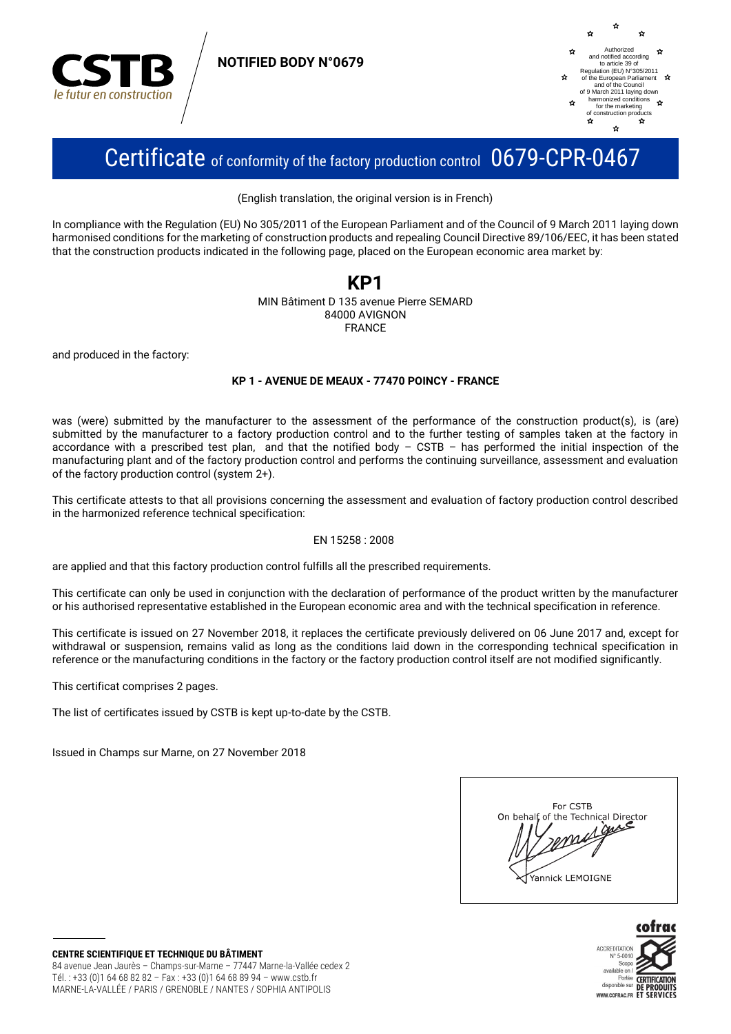

**NOTIFIED BODY N°0679** 



# Certificate of conformity of the factory production control 0679-CPR-0467

(English translation, the original version is in French)

In compliance with the Regulation (EU) No 305/2011 of the European Parliament and of the Council of 9 March 2011 laving down harmonised conditions for the marketing of construction products and repealing Council Directive 89/106/EEC, it has been stated that the construction products indicated in the following page, placed on the European economic area market by:

### KP1 MIN Bâtiment D 135 avenue Pierre SEMARD 84000 AVIGNON **FRANCE**

and produced in the factory:

### KP 1 - AVENUE DE MEAUX - 77470 POINCY - FRANCE

was (were) submitted by the manufacturer to the assessment of the performance of the construction product(s), is (are) submitted by the manufacturer to a factory production control and to the further testing of samples taken at the factory in accordance with a prescribed test plan, and that the notified body  $-$  CSTB  $-$  has performed the initial inspection of the manufacturing plant and of the factory production control and performs the continuing surveillance, assessment and evaluation of the factory production control (system 2+).

This certificate attests to that all provisions concerning the assessment and evaluation of factory production control described in the harmonized reference technical specification:

#### EN 15258:2008

are applied and that this factory production control fulfills all the prescribed requirements.

This certificate can only be used in conjunction with the declaration of performance of the product written by the manufacturer or his authorised representative established in the European economic area and with the technical specification in reference.

This certificate is issued on 27 November 2018, it replaces the certificate previously delivered on 06 June 2017 and, except for withdrawal or suspension, remains valid as long as the conditions laid down in the corresponding technical specification in reference or the manufacturing conditions in the factory or the factory production control itself are not modified significantly.

This certificat comprises 2 pages.

The list of certificates issued by CSTB is kept up-to-date by the CSTB.

Issued in Champs sur Marne, on 27 November 2018

| For CSTB<br>On behalf of the Technical Director<br>$\iiint$ |
|-------------------------------------------------------------|
| Yannick LEMOIGNE                                            |



**CENTRE SCIENTIFIQUE ET TECHNIQUE DU BÂTIMENT** 84 avenue Jean Jaurès - Champs-sur-Marne - 77447 Marne-la-Vallée cedex 2 Tél.: +33 (0)1 64 68 82 82 - Fax: +33 (0)1 64 68 89 94 - www.cstb.fr MARNE-LA-VALLÉE / PARIS / GRENOBLE / NANTES / SOPHIA ANTIPOLIS